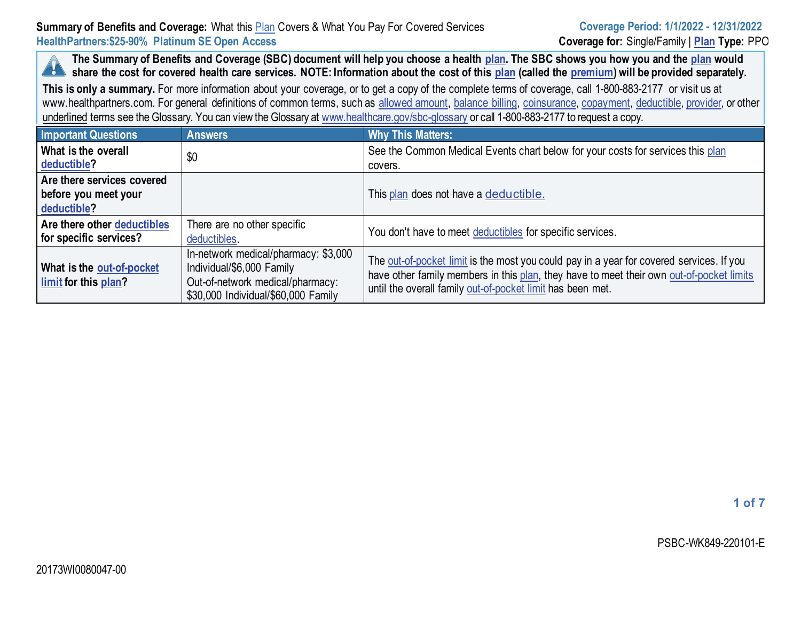**The Summary of Benefits and Coverage (SBC) document will help you choose a health [plan.](https://www.healthcare.gov/sbc-glossary/#plan) The SBC shows you how you and the [plan](https://www.healthcare.gov/sbc-glossary/#plan) would k a** share the cost for covered health care services. NOTE: Information about the cost of this [plan](https://www.healthcare.gov/sbc-glossary/#plan) (called the [premium\)](https://www.healthcare.gov/sbc-glossary/#premium) will be provided separately.

**This is only a summary.** For more information about your coverage, or to get a copy of the complete terms of coverage, call 1-800-883-2177 or visit us at www.healthpartners.com. For general definitions of common terms, such as [allowed amount,](https://www.healthcare.gov/sbc-glossary/#allowed-amount) [balance billing,](https://www.healthcare.gov/sbc-glossary/#balance-billing) [coinsurance,](https://www.healthcare.gov/sbc-glossary/#coinsurance) [copayment,](https://www.healthcare.gov/sbc-glossary/#copayment) [deductible,](https://www.healthcare.gov/sbc-glossary/#deductible) [provider,](https://www.healthcare.gov/sbc-glossary/#provider) or other underlined terms see the Glossary. You can view the Glossary a[t www.healthcare.gov/sbc-glossary](https://www.healthcare.gov/sbc-glossary) or call 1-800-883-2177 to request a copy.

| <b>Important Questions</b>                                        | <b>Answers</b>                                                                                                                               | <b>Why This Matters:</b>                                                                                                                                                                                                                           |
|-------------------------------------------------------------------|----------------------------------------------------------------------------------------------------------------------------------------------|----------------------------------------------------------------------------------------------------------------------------------------------------------------------------------------------------------------------------------------------------|
| What is the overall<br>deductible?                                | \$0                                                                                                                                          | See the Common Medical Events chart below for your costs for services this plan<br>covers.                                                                                                                                                         |
| Are there services covered<br>before you meet your<br>deductible? |                                                                                                                                              | This plan does not have a deductible.                                                                                                                                                                                                              |
| Are there other deductibles<br>for specific services?             | There are no other specific<br>deductibles.                                                                                                  | You don't have to meet deductibles for specific services.                                                                                                                                                                                          |
| <b>What is the out-of-pocket</b><br>limit for this plan?          | In-network medical/pharmacy: \$3,000<br>Individual/\$6,000 Family<br>Out-of-network medical/pharmacy:<br>\$30,000 Individual/\$60,000 Family | The out-of-pocket limit is the most you could pay in a year for covered services. If you<br>have other family members in this plan, they have to meet their own out-of-pocket limits<br>until the overall family out-of-pocket limit has been met. |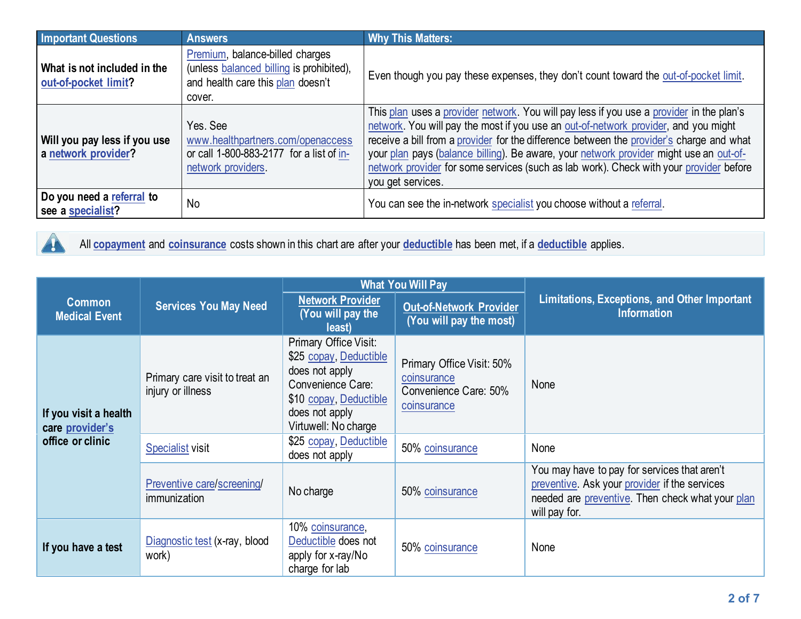| <b>Important Questions</b>                          | <b>Answers</b>                                                                                                             | <b>Why This Matters:</b>                                                                                                                                                                                                                                                                                                                                                                                                                                                             |
|-----------------------------------------------------|----------------------------------------------------------------------------------------------------------------------------|--------------------------------------------------------------------------------------------------------------------------------------------------------------------------------------------------------------------------------------------------------------------------------------------------------------------------------------------------------------------------------------------------------------------------------------------------------------------------------------|
| What is not included in the<br>out-of-pocket limit? | Premium, balance-billed charges<br>(unless balanced billing is prohibited),<br>and health care this plan doesn't<br>cover. | Even though you pay these expenses, they don't count toward the out-of-pocket limit.                                                                                                                                                                                                                                                                                                                                                                                                 |
| Will you pay less if you use<br>a network provider? | Yes, See<br>www.healthpartners.com/openaccess<br>or call 1-800-883-2177 for a list of in-<br>network providers.            | This plan uses a provider network. You will pay less if you use a provider in the plan's<br>network. You will pay the most if you use an out-of-network provider, and you might<br>receive a bill from a provider for the difference between the provider's charge and what<br>your plan pays (balance billing). Be aware, your network provider might use an out-of-<br>network provider for some services (such as lab work). Check with your provider before<br>you get services. |
| Do you need a referral to<br>see a specialist?      | No                                                                                                                         | You can see the in-network specialist you choose without a referral.                                                                                                                                                                                                                                                                                                                                                                                                                 |

4

All **[copayment](https://www.healthcare.gov/sbc-glossary/#copayment)** and **[coinsurance](https://www.healthcare.gov/sbc-glossary/#coinsurance)** costs shown in this chart are after your **[deductible](https://www.healthcare.gov/sbc-glossary/#deductible)** has been met, if a **[deductible](https://www.healthcare.gov/sbc-glossary/#deductible)** applies.

|                                                              |                                                     | <b>What You Will Pay</b>                                                                                                                                   |                                                                                  |                                                                                                                                                                    |  |
|--------------------------------------------------------------|-----------------------------------------------------|------------------------------------------------------------------------------------------------------------------------------------------------------------|----------------------------------------------------------------------------------|--------------------------------------------------------------------------------------------------------------------------------------------------------------------|--|
| <b>Common</b><br><b>Medical Event</b>                        | <b>Services You May Need</b>                        | <b>Network Provider</b><br>(You will pay the<br>least)                                                                                                     | <b>Out-of-Network Provider</b><br>(You will pay the most)                        | <b>Limitations, Exceptions, and Other Important</b><br><b>Information</b>                                                                                          |  |
| If you visit a health<br>care provider's<br>office or clinic | Primary care visit to treat an<br>injury or illness | Primary Office Visit:<br>\$25 copay, Deductible<br>does not apply<br>Convenience Care:<br>\$10 copay, Deductible<br>does not apply<br>Virtuwell: No charge | Primary Office Visit: 50%<br>coinsurance<br>Convenience Care: 50%<br>coinsurance | None                                                                                                                                                               |  |
|                                                              | <b>Specialist visit</b>                             | \$25 copay, Deductible<br>does not apply                                                                                                                   | 50% coinsurance                                                                  | None                                                                                                                                                               |  |
|                                                              | <b>Preventive care/screening/</b><br>immunization   | No charge                                                                                                                                                  | 50% coinsurance                                                                  | You may have to pay for services that aren't<br>preventive. Ask your provider if the services<br>needed are preventive. Then check what your plan<br>will pay for. |  |
| If you have a test                                           | Diagnostic test (x-ray, blood<br>work)              | 10% coinsurance,<br>Deductible does not<br>apply for x-ray/No<br>charge for lab                                                                            | 50% coinsurance                                                                  | None                                                                                                                                                               |  |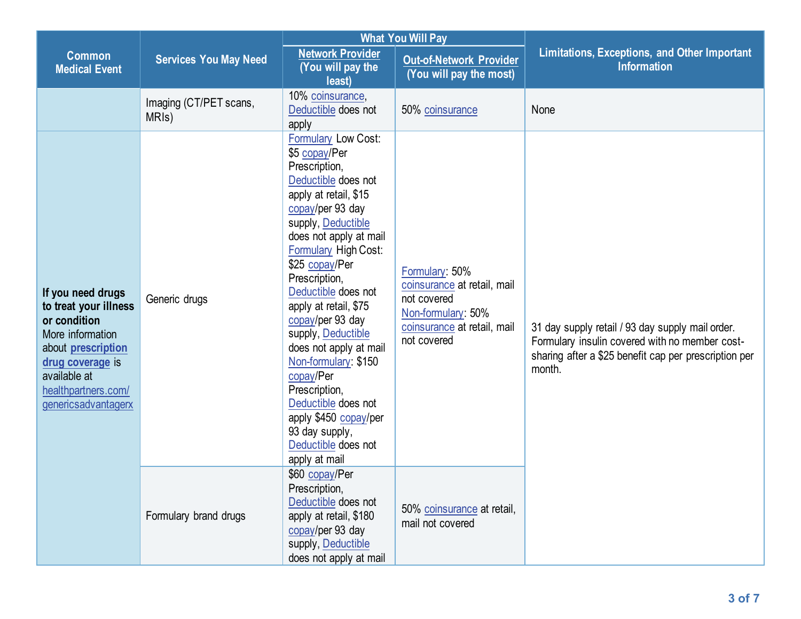|                                                                                                                                                                                               |                                              |                                                                                                                                                                                                                                                                                                                                                                                                                                                                                                                                        | <b>What You Will Pay</b>                                                                                                         |                                                                                                                                                                       |  |
|-----------------------------------------------------------------------------------------------------------------------------------------------------------------------------------------------|----------------------------------------------|----------------------------------------------------------------------------------------------------------------------------------------------------------------------------------------------------------------------------------------------------------------------------------------------------------------------------------------------------------------------------------------------------------------------------------------------------------------------------------------------------------------------------------------|----------------------------------------------------------------------------------------------------------------------------------|-----------------------------------------------------------------------------------------------------------------------------------------------------------------------|--|
| <b>Common</b><br><b>Medical Event</b>                                                                                                                                                         | <b>Services You May Need</b>                 | <b>Network Provider</b><br>(You will pay the<br>least)                                                                                                                                                                                                                                                                                                                                                                                                                                                                                 | <b>Out-of-Network Provider</b><br>(You will pay the most)                                                                        | Limitations, Exceptions, and Other Important<br><b>Information</b>                                                                                                    |  |
|                                                                                                                                                                                               | Imaging (CT/PET scans,<br>MRI <sub>s</sub> ) | 10% coinsurance,<br>Deductible does not<br>apply                                                                                                                                                                                                                                                                                                                                                                                                                                                                                       | 50% coinsurance                                                                                                                  | None                                                                                                                                                                  |  |
| If you need drugs<br>to treat your illness<br>or condition<br>More information<br>about <b>prescription</b><br>drug coverage is<br>available at<br>healthpartners.com/<br>genericsadvantagerx | Generic drugs                                | <b>Formulary Low Cost:</b><br>\$5 copay/Per<br>Prescription,<br>Deductible does not<br>apply at retail, \$15<br>copay/per 93 day<br>supply, Deductible<br>does not apply at mail<br><b>Formulary High Cost:</b><br>\$25 copay/Per<br>Prescription,<br>Deductible does not<br>apply at retail, \$75<br>copay/per 93 day<br>supply, Deductible<br>does not apply at mail<br>Non-formulary: \$150<br>copay/Per<br>Prescription,<br>Deductible does not<br>apply \$450 copay/per<br>93 day supply,<br>Deductible does not<br>apply at mail | Formulary: 50%<br>coinsurance at retail, mail<br>not covered<br>Non-formulary: 50%<br>coinsurance at retail, mail<br>not covered | 31 day supply retail / 93 day supply mail order.<br>Formulary insulin covered with no member cost-<br>sharing after a \$25 benefit cap per prescription per<br>month. |  |
|                                                                                                                                                                                               | Formulary brand drugs                        | \$60 copay/Per<br>Prescription,<br>Deductible does not<br>apply at retail, \$180<br>copay/per 93 day<br>supply, Deductible<br>does not apply at mail                                                                                                                                                                                                                                                                                                                                                                                   | 50% coinsurance at retail,<br>mail not covered                                                                                   |                                                                                                                                                                       |  |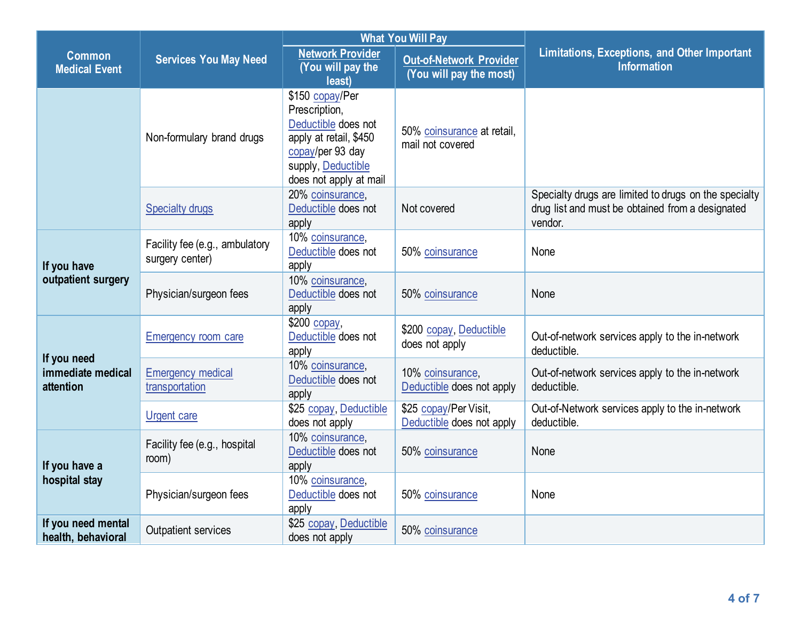|                                               | <b>Services You May Need</b>                      | <b>What You Will Pay</b>                                                                                                                              |                                                           |                                                                                                                      |
|-----------------------------------------------|---------------------------------------------------|-------------------------------------------------------------------------------------------------------------------------------------------------------|-----------------------------------------------------------|----------------------------------------------------------------------------------------------------------------------|
| <b>Common</b><br><b>Medical Event</b>         |                                                   | <b>Network Provider</b><br>(You will pay the<br>least)                                                                                                | <b>Out-of-Network Provider</b><br>(You will pay the most) | Limitations, Exceptions, and Other Important<br><b>Information</b>                                                   |
|                                               | Non-formulary brand drugs                         | \$150 copay/Per<br>Prescription,<br>Deductible does not<br>apply at retail, \$450<br>copay/per 93 day<br>supply, Deductible<br>does not apply at mail | 50% coinsurance at retail,<br>mail not covered            |                                                                                                                      |
|                                               | <b>Specialty drugs</b>                            | 20% coinsurance,<br>Deductible does not<br>apply                                                                                                      | Not covered                                               | Specialty drugs are limited to drugs on the specialty<br>drug list and must be obtained from a designated<br>vendor. |
| If you have<br>outpatient surgery             | Facility fee (e.g., ambulatory<br>surgery center) | 10% coinsurance,<br>Deductible does not<br>apply                                                                                                      | 50% coinsurance                                           | None                                                                                                                 |
|                                               | Physician/surgeon fees                            | 10% coinsurance,<br>Deductible does not<br>apply                                                                                                      | 50% coinsurance                                           | None                                                                                                                 |
| If you need<br>immediate medical<br>attention | Emergency room care                               | $$200$ copay,<br>Deductible does not<br>apply                                                                                                         | \$200 copay, Deductible<br>does not apply                 | Out-of-network services apply to the in-network<br>deductible.                                                       |
|                                               | <b>Emergency medical</b><br>transportation        | 10% coinsurance,<br>Deductible does not<br>apply                                                                                                      | 10% coinsurance,<br>Deductible does not apply             | Out-of-network services apply to the in-network<br>deductible.                                                       |
|                                               | <b>Urgent care</b>                                | \$25 copay, Deductible<br>does not apply                                                                                                              | \$25 copay/Per Visit,<br>Deductible does not apply        | Out-of-Network services apply to the in-network<br>deductible.                                                       |
| If you have a<br>hospital stay                | Facility fee (e.g., hospital<br>room)             | 10% coinsurance,<br>Deductible does not<br>apply                                                                                                      | 50% coinsurance                                           | None                                                                                                                 |
|                                               | Physician/surgeon fees                            | 10% coinsurance,<br>Deductible does not<br>apply                                                                                                      | 50% coinsurance                                           | None                                                                                                                 |
| If you need mental<br>health, behavioral      | Outpatient services                               | \$25 copay, Deductible<br>does not apply                                                                                                              | 50% coinsurance                                           |                                                                                                                      |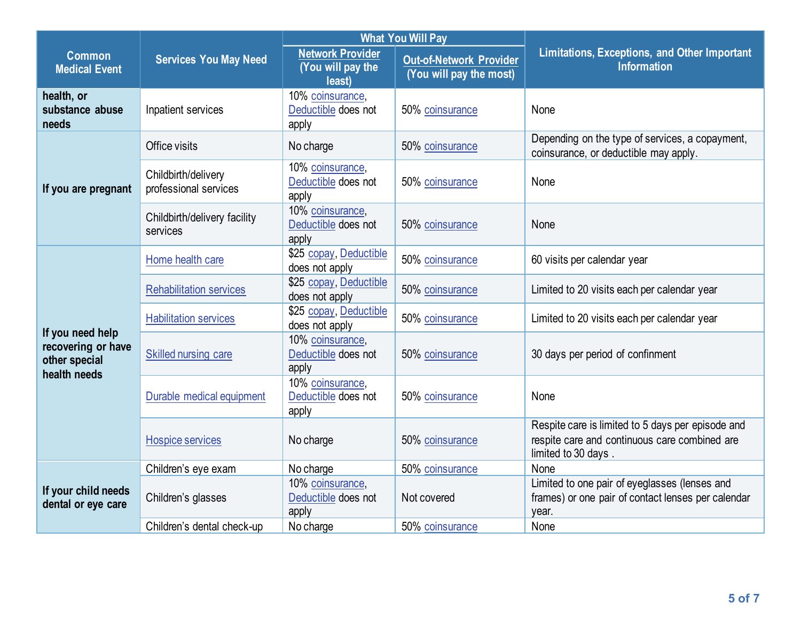|                                                                         |                                              | <b>What You Will Pay</b>                               |                                                           |                                                                                                                           |  |
|-------------------------------------------------------------------------|----------------------------------------------|--------------------------------------------------------|-----------------------------------------------------------|---------------------------------------------------------------------------------------------------------------------------|--|
| <b>Common</b><br><b>Medical Event</b>                                   | <b>Services You May Need</b>                 | <b>Network Provider</b><br>(You will pay the<br>least) | <b>Out-of-Network Provider</b><br>(You will pay the most) | <b>Limitations, Exceptions, and Other Important</b><br><b>Information</b>                                                 |  |
| health, or<br>substance abuse<br>needs                                  | Inpatient services                           | 10% coinsurance,<br>Deductible does not<br>apply       | 50% coinsurance                                           | None                                                                                                                      |  |
|                                                                         | Office visits                                | No charge                                              | 50% coinsurance                                           | Depending on the type of services, a copayment,<br>coinsurance, or deductible may apply.                                  |  |
| If you are pregnant                                                     | Childbirth/delivery<br>professional services | 10% coinsurance,<br>Deductible does not<br>apply       | 50% coinsurance                                           | None                                                                                                                      |  |
|                                                                         | Childbirth/delivery facility<br>services     | 10% coinsurance,<br>Deductible does not<br>apply       | 50% coinsurance                                           | None                                                                                                                      |  |
|                                                                         | Home health care                             | \$25 copay, Deductible<br>does not apply               | 50% coinsurance                                           | 60 visits per calendar year                                                                                               |  |
|                                                                         | <b>Rehabilitation services</b>               | \$25 copay, Deductible<br>does not apply               | 50% coinsurance                                           | Limited to 20 visits each per calendar year                                                                               |  |
|                                                                         | <b>Habilitation services</b>                 | \$25 copay, Deductible<br>does not apply               | 50% coinsurance                                           | Limited to 20 visits each per calendar year                                                                               |  |
| If you need help<br>recovering or have<br>other special<br>health needs | Skilled nursing care                         | 10% coinsurance,<br>Deductible does not<br>apply       | 50% coinsurance                                           | 30 days per period of confinment                                                                                          |  |
|                                                                         | Durable medical equipment                    | 10% coinsurance,<br>Deductible does not<br>apply       | 50% coinsurance                                           | None                                                                                                                      |  |
|                                                                         | <b>Hospice services</b>                      | No charge                                              | 50% coinsurance                                           | Respite care is limited to 5 days per episode and<br>respite care and continuous care combined are<br>limited to 30 days. |  |
|                                                                         | Children's eye exam                          | No charge                                              | 50% coinsurance                                           | None                                                                                                                      |  |
| If your child needs<br>dental or eye care                               | Children's glasses                           | 10% coinsurance,<br>Deductible does not<br>apply       | Not covered                                               | Limited to one pair of eyeglasses (lenses and<br>frames) or one pair of contact lenses per calendar<br>year.              |  |
|                                                                         | Children's dental check-up                   | No charge                                              | 50% coinsurance                                           | None                                                                                                                      |  |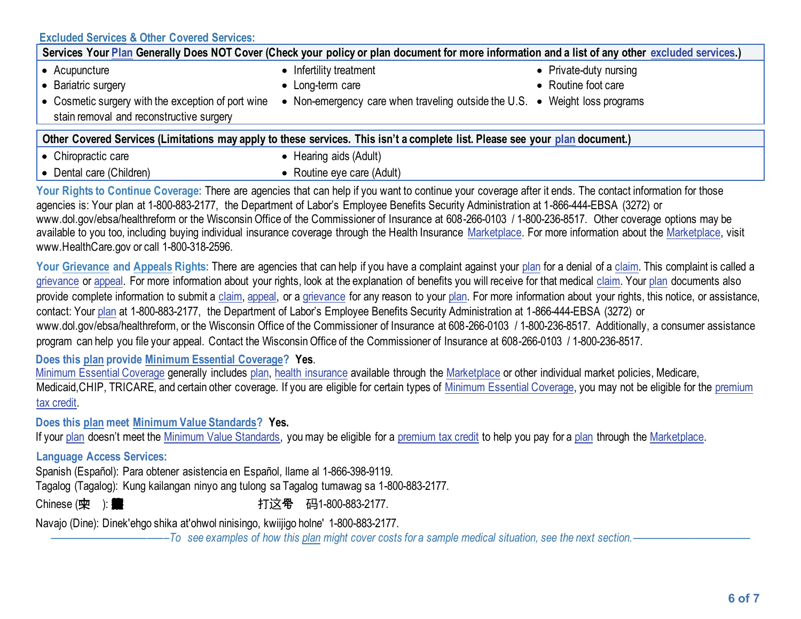## **[Excluded Services](https://www.healthcare.gov/sbc-glossary/#excluded-services) & Other Covered Services:**

| Services Your Plan Generally Does NOT Cover (Check your policy or plan document for more information and a list of any other excluded services.)          |                                                                             |                        |  |  |
|-----------------------------------------------------------------------------------------------------------------------------------------------------------|-----------------------------------------------------------------------------|------------------------|--|--|
| • Acupuncture                                                                                                                                             | • Infertility treatment                                                     | • Private-duty nursing |  |  |
| • Bariatric surgery                                                                                                                                       | • Long-term care                                                            | • Routine foot care    |  |  |
| • Cosmetic surgery with the exception of port wine<br>stain removal and reconstructive surgery                                                            | • Non-emergency care when traveling outside the U.S. • Weight loss programs |                        |  |  |
| Other Covered Services (Limitations may apply to these services. This isn't a complete list. Please see your plan document.)                              |                                                                             |                        |  |  |
| • Chiropractic care                                                                                                                                       | • Hearing aids (Adult)                                                      |                        |  |  |
| • Dental care (Children)                                                                                                                                  | • Routine eye care (Adult)                                                  |                        |  |  |
| Vour Rights to Continue Coverage: There are agencies that can help if you want to continue your coverage after it ands. The contact information for those |                                                                             |                        |  |  |

If you want to continue your agencies is: Your plan at 1-800-883-2177, the Department of Labor's Employee Benefits Security Administration at 1-866-444-EBSA (3272) or www.dol.gov/ebsa/healthreform or the Wisconsin Office of the Commissioner of Insurance at 608-266-0103 / 1-800-236-8517. Other coverage options may be available to you too, including buying individual insurance coverage through the Health Insurance [Marketplace.](https://www.healthcare.gov/sbc-glossary/#marketplace) For more information about th[e Marketplace,](https://www.healthcare.gov/sbc-glossary/#marketplace) visit www.HealthCare.gov or call 1-800-318-2596.

Your Grievance an[d Appeals](https://www.healthcare.gov/sbc-glossary/#appeal) Rights: There are agencies that can help if you have a complaint against you[r plan](https://www.healthcare.gov/sbc-glossary/#plan) for a denial of [a claim.](https://www.healthcare.gov/sbc-glossary/#claim) This complaint is called a [grievance](https://www.healthcare.gov/sbc-glossary/#grievance) or [appeal.](https://www.healthcare.gov/sbc-glossary/#appeal) For more information about your rights, look at the explanation of benefits you will receive for that medical [claim.](https://www.healthcare.gov/sbc-glossary/#claim) You[r plan](https://www.healthcare.gov/sbc-glossary/#plan) documents also provide complete information to submit a [claim,](https://www.healthcare.gov/sbc-glossary/#claim) [appeal,](https://www.healthcare.gov/sbc-glossary/#appeal) or a [grievance](https://www.healthcare.gov/sbc-glossary/#grievance) for any reason to your [plan.](https://www.healthcare.gov/sbc-glossary/#plan) For more information about your rights, this notice, or assistance, contact: Your [plan](https://www.healthcare.gov/sbc-glossary/#plan) at 1-800-883-2177, the Department of Labor's Employee Benefits Security Administration at 1-866-444-EBSA (3272) or www.dol.gov/ebsa/healthreform, or the Wisconsin Office of the Commissioner of Insurance at 608-266-0103 / 1-800-236-8517. Additionally, a consumer assistance program can help you file your appeal. Contact the Wisconsin Office of the Commissioner of Insurance at 608-266-0103 / 1-800-236-8517.

**Does this plan provide Minimum Essential Coverage? Yes**.

[Minimum Essential Coverage](https://www.healthcare.gov/sbc-glossary/#minimum-essential-coverage) generally includes [plan,](https://www.healthcare.gov/sbc-glossary/#plan) [health insurance](https://www.healthcare.gov/sbc-glossary/#health-insurance) available through the [Marketplace](https://www.healthcare.gov/sbc-glossary/#marketplace) or other individual market policies, Medicare, Medicaid, CHIP, TRICARE, and certain other coverage. If you are eligible for certain types of [Minimum Essential Coverage,](https://www.healthcare.gov/sbc-glossary/#minimum-essential-coverage) you may not be eligible for the premium [tax credit.](https://www.healthcare.gov/sbc-glossary/#premium-tax-credits)

**Does this plan meet Minimum Value Standards? Yes.**

If your [plan](https://www.healthcare.gov/sbc-glossary/#plan) doesn't meet the [Minimum Value Standards,](https://www.healthcare.gov/sbc-glossary/#minimum-value-standard) you may be eligible for [a premium tax credit](https://www.healthcare.gov/sbc-glossary/#premium-tax-credits) to help you pay for a plan through the [Marketplace.](https://www.healthcare.gov/sbc-glossary/#marketplace)

## **Language Access Services:**

Spanish (Español): Para obtener asistencia en Español, llame al 1-866-398-9119.

Tagalog (Tagalog): Kung kailangan ninyo ang tulong sa Tagalog tumawag sa 1-800-883-2177.

Chinese ( $\dot{\mathbf{\cdot}}$ ): **的某些事件, 这个字 有**1-800-883-2177.

Navajo (Dine): Dinek'ehgo shika at'ohwol ninisingo, kwiijigo holne' 1-800-883-2177.

––––––––––––––––––––––*To see examples of how thi[s plan](https://www.healthcare.gov/sbc-glossary/#plan) might cover costs for a sample medical situation, see the next section.–––––––––––*–––––––––––